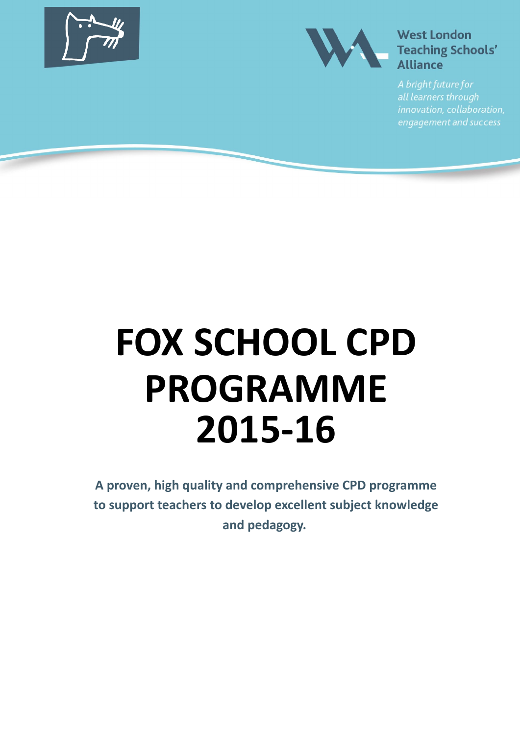



innovation, collaboration, engagement and success

# **FOX SCHOOL CPD PROGRAMME 2015-16**

**A proven, high quality and comprehensive CPD programme to support teachers to develop excellent subject knowledge and pedagogy.**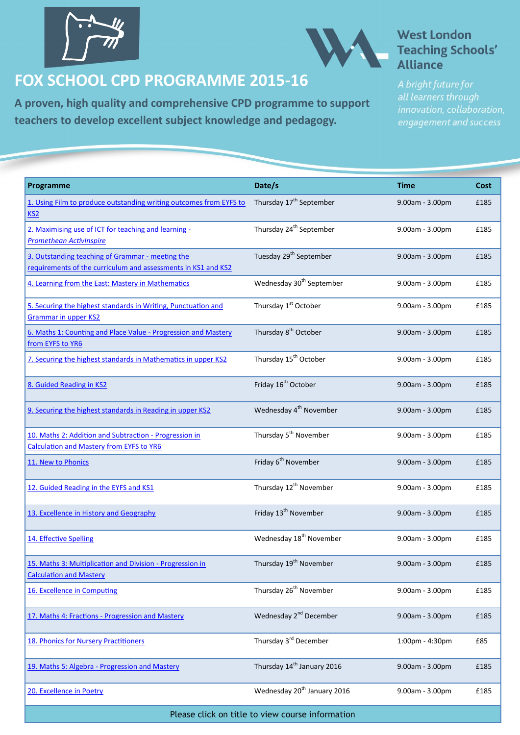<span id="page-1-0"></span>



### **FOX SCHOOL CPD PROGRAMME 2015-16**

**A proven, high quality and comprehensive CPD programme to support teachers to develop excellent subject knowledge and pedagogy.**

### **West London Teaching Schools'** Alliance

| Programme                                                                                                         | Date/s                                  | <b>Time</b>     | Cost |
|-------------------------------------------------------------------------------------------------------------------|-----------------------------------------|-----------------|------|
| 1. Using Film to produce outstanding writing outcomes from EYFS to<br>KS2                                         | Thursday 17 <sup>th</sup> September     | 9.00am - 3.00pm | £185 |
| 2. Maximising use of ICT for teaching and learning -<br><b>Promethean ActivInspire</b>                            | Thursday 24 <sup>th</sup> September     | 9.00am - 3.00pm | £185 |
| 3. Outstanding teaching of Grammar - meeting the<br>requirements of the curriculum and assessments in KS1 and KS2 | Tuesday 29 <sup>th</sup> September      | 9.00am - 3.00pm | £185 |
| 4. Learning from the East: Mastery in Mathematics                                                                 | Wednesday 30 <sup>th</sup> September    | 9.00am - 3.00pm | £185 |
| 5. Securing the highest standards in Writing, Punctuation and<br><b>Grammar in upper KS2</b>                      | Thursday 1 <sup>st</sup> October        | 9.00am - 3.00pm | £185 |
| 6. Maths 1: Counting and Place Value - Progression and Mastery<br>from EYFS to YR6                                | Thursday 8 <sup>th</sup> October        | 9.00am - 3.00pm | £185 |
| 7. Securing the highest standards in Mathematics in upper KS2                                                     | Thursday 15 <sup>th</sup> October       | 9.00am - 3.00pm | £185 |
| 8. Guided Reading in KS2                                                                                          | Friday 16 <sup>th</sup> October         | 9.00am - 3.00pm | £185 |
| 9. Securing the highest standards in Reading in upper KS2                                                         | Wednesday 4 <sup>th</sup> November      | 9.00am - 3.00pm | £185 |
| 10. Maths 2: Addition and Subtraction - Progression in<br><b>Calculation and Mastery from EYFS to YR6</b>         | Thursday 5 <sup>th</sup> November       | 9.00am - 3.00pm | £185 |
| 11. New to Phonics                                                                                                | Friday 6 <sup>th</sup> November         | 9.00am - 3.00pm | £185 |
| 12. Guided Reading in the EYFS and KS1                                                                            | Thursday 12 <sup>th</sup> November      | 9.00am - 3.00pm | £185 |
| 13. Excellence in History and Geography                                                                           | Friday 13 <sup>th</sup> November        | 9.00am - 3.00pm | £185 |
| 14. Effective Spelling                                                                                            | Wednesday 18 <sup>th</sup> November     | 9.00am - 3.00pm | £185 |
| 15. Maths 3: Multiplication and Division - Progression in<br><b>Calculation and Mastery</b>                       | Thursday 19 <sup>th</sup> November      | 9.00am - 3.00pm | £185 |
| 16. Excellence in Computing                                                                                       | Thursday 26 <sup>th</sup> November      | 9.00am - 3.00pm | £185 |
| 17. Maths 4: Fractions - Progression and Mastery                                                                  | Wednesday 2 <sup>nd</sup> December      | 9.00am - 3.00pm | £185 |
| 18. Phonics for Nursery Practitioners                                                                             | Thursday 3 <sup>rd</sup> December       | 1:00pm - 4:30pm | £85  |
| 19. Maths 5: Algebra - Progression and Mastery                                                                    | Thursday 14 <sup>th</sup> January 2016  | 9.00am - 3.00pm | £185 |
| 20. Excellence in Poetry                                                                                          | Wednesday 20 <sup>th</sup> January 2016 | 9.00am - 3.00pm | £185 |

Please click on title to view course information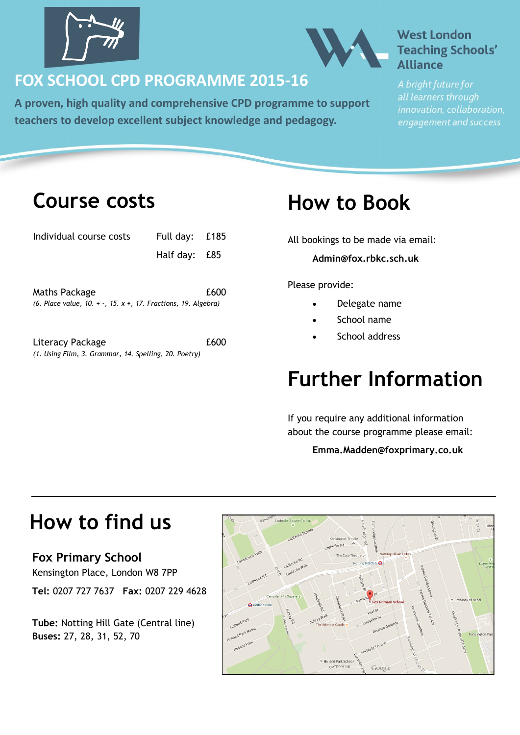<span id="page-2-0"></span>



### **FOX SCHOOL CPD PROGRAMME 2015-16**

**A proven, high quality and comprehensive CPD programme to support teachers to develop excellent subject knowledge and pedagogy.**

### **West London Teaching Schools' Alliance**

all learners through innovation, collaboration, engagement and success

### **Course costs**

| Individual course costs                                                | Full day: £185 |      |  |  |
|------------------------------------------------------------------------|----------------|------|--|--|
|                                                                        | Half day:      | £85  |  |  |
|                                                                        |                |      |  |  |
| Maths Package                                                          |                | £600 |  |  |
| (6. Place value, 10. $+$ -, 15. $x \div$ , 17. Fractions, 19. Algebra) |                |      |  |  |
|                                                                        |                |      |  |  |
| Literacy Package                                                       |                | £600 |  |  |
| (1. Using Film, 3. Grammar, 14. Spelling, 20. Poetry)                  |                |      |  |  |

## **How to Book**

All bookings to be made via email: **Admin@fox.rbkc.sch.uk**

Please provide:

- Delegate name
- School name
- School address

# **Further Information**

If you require any additional information about the course programme please email:

**Emma.Madden@foxprimary.co.uk**

## **How to find us**

**Fox Primary School** Kensington Place, London W8 7PP **Tel:** 0207 727 7637 **Fax:** 0207 229 4628

**Tube:** Notting Hill Gate (Central line) **Buses:** 27, 28, 31, 52, 70

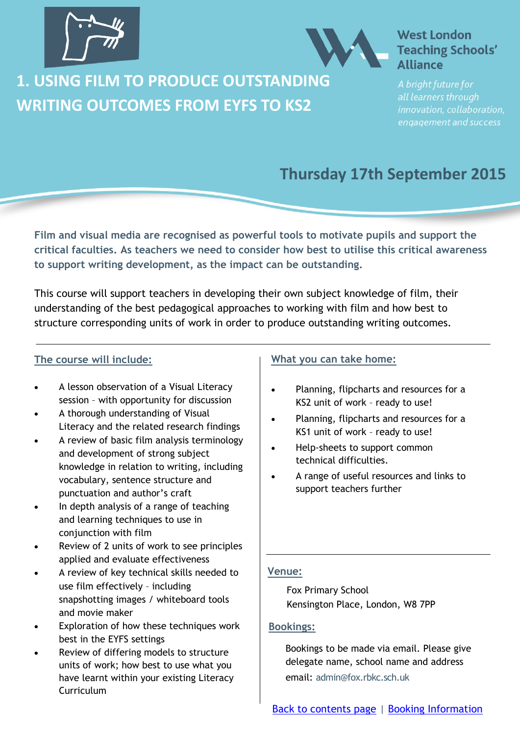<span id="page-3-0"></span>



**1. USING FILM TO PRODUCE OUTSTANDING WRITING OUTCOMES FROM EYFS TO KS2**

all learners through innovation, collaboration, engagement and success

### **Thursday 17th September 2015**

**Film and visual media are recognised as powerful tools to motivate pupils and support the critical faculties. As teachers we need to consider how best to utilise this critical awareness to support writing development, as the impact can be outstanding.** 

This course will support teachers in developing their own subject knowledge of film, their understanding of the best pedagogical approaches to working with film and how best to structure corresponding units of work in order to produce outstanding writing outcomes.

### **The course will include:**

- A lesson observation of a Visual Literacy session – with opportunity for discussion
- A thorough understanding of Visual Literacy and the related research findings
- A review of basic film analysis terminology and development of strong subject knowledge in relation to writing, including vocabulary, sentence structure and punctuation and author's craft
- In depth analysis of a range of teaching and learning techniques to use in conjunction with film
- Review of 2 units of work to see principles applied and evaluate effectiveness
- A review of key technical skills needed to use film effectively – including snapshotting images / whiteboard tools and movie maker
- Exploration of how these techniques work best in the EYFS settings
- Review of differing models to structure units of work; how best to use what you have learnt within your existing Literacy Curriculum

#### **What you can take home:**

- Planning, flipcharts and resources for a KS2 unit of work – ready to use!
- Planning, flipcharts and resources for a KS1 unit of work – ready to use!
- Help-sheets to support common technical difficulties.
- A range of useful resources and links to support teachers further

### **Venue:**

Fox Primary School Kensington Place, London, W8 7PP

#### **Bookings:**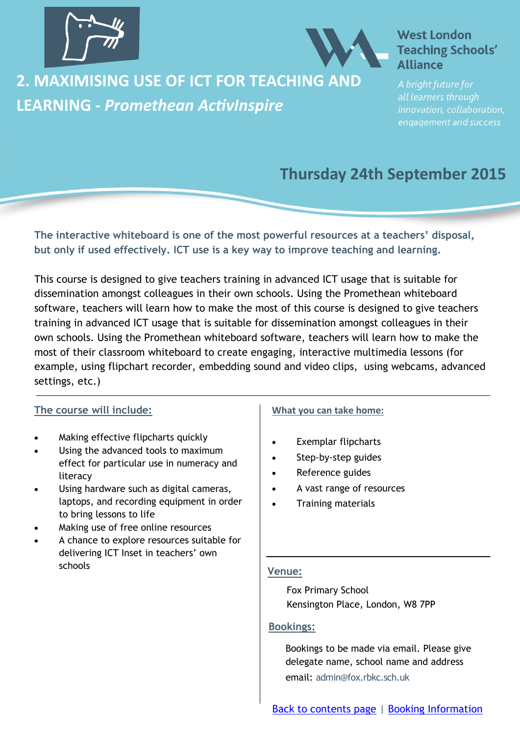<span id="page-4-0"></span>



### **2. MAXIMISING USE OF ICT FOR TEACHING AND LEARNING -** *Promethean ActivInspire*

### **West London Teaching Schools' Alliance**

all learners through innovation, collaboration, engagement and success

### **Thursday 24th September 2015**

**The interactive whiteboard is one of the most powerful resources at a teachers' disposal, but only if used effectively. ICT use is a key way to improve teaching and learning.** 

This course is designed to give teachers training in advanced ICT usage that is suitable for dissemination amongst colleagues in their own schools. Using the Promethean whiteboard software, teachers will learn how to make the most of this course is designed to give teachers training in advanced ICT usage that is suitable for dissemination amongst colleagues in their own schools. Using the Promethean whiteboard software, teachers will learn how to make the most of their classroom whiteboard to create engaging, interactive multimedia lessons (for example, using flipchart recorder, embedding sound and video clips, using webcams, advanced settings, etc.)

### **The course will include:**

- Making effective flipcharts quickly
- Using the advanced tools to maximum effect for particular use in numeracy and literacy
- Using hardware such as digital cameras, laptops, and recording equipment in order to bring lessons to life
- Making use of free online resources
- A chance to explore resources suitable for delivering ICT Inset in teachers' own schools

### **What you can take home:**

- Exemplar flipcharts
- Step-by-step guides
- Reference guides
- A vast range of resources
- Training materials

#### **Venue:**

Fox Primary School Kensington Place, London, W8 7PP

#### **Bookings:**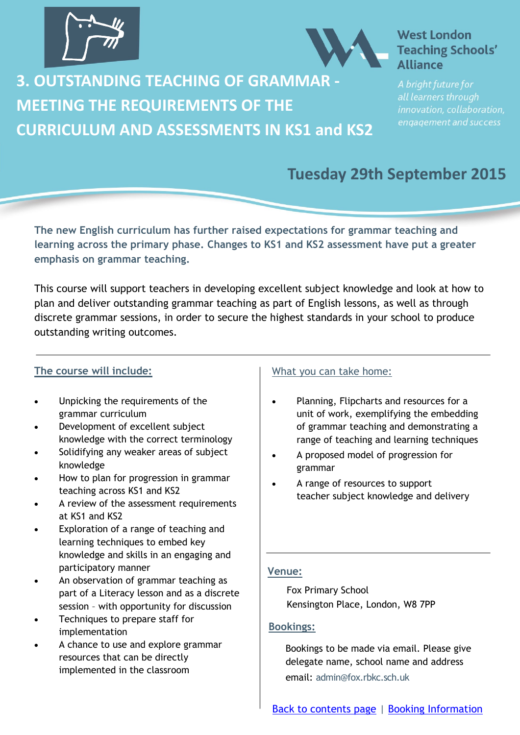<span id="page-5-0"></span>

### **3. OUTSTANDING TEACHING OF GRAMMAR - MEETING THE REQUIREMENTS OF THE CURRICULUM AND ASSESSMENTS IN KS1 and KS2**

### **West London Teaching Schools' Alliance**

all learners through innovation, collaboration, engagement and success

### **Tuesday 29th September 2015**

**The new English curriculum has further raised expectations for grammar teaching and learning across the primary phase. Changes to KS1 and KS2 assessment have put a greater emphasis on grammar teaching.**

This course will support teachers in developing excellent subject knowledge and look at how to plan and deliver outstanding grammar teaching as part of English lessons, as well as through discrete grammar sessions, in order to secure the highest standards in your school to produce outstanding writing outcomes.

### **The course will include:**

- Unpicking the requirements of the grammar curriculum
- Development of excellent subject knowledge with the correct terminology
- Solidifying any weaker areas of subject knowledge
- How to plan for progression in grammar teaching across KS1 and KS2
- A review of the assessment requirements at KS1 and KS2
- Exploration of a range of teaching and learning techniques to embed key knowledge and skills in an engaging and participatory manner
- An observation of grammar teaching as part of a Literacy lesson and as a discrete session – with opportunity for discussion
- Techniques to prepare staff for implementation
- A chance to use and explore grammar resources that can be directly implemented in the classroom

### What you can take home:

- Planning, Flipcharts and resources for a unit of work, exemplifying the embedding of grammar teaching and demonstrating a range of teaching and learning techniques
- A proposed model of progression for grammar
- A range of resources to support teacher subject knowledge and delivery

### **Venue:**

Fox Primary School Kensington Place, London, W8 7PP

### **Bookings:**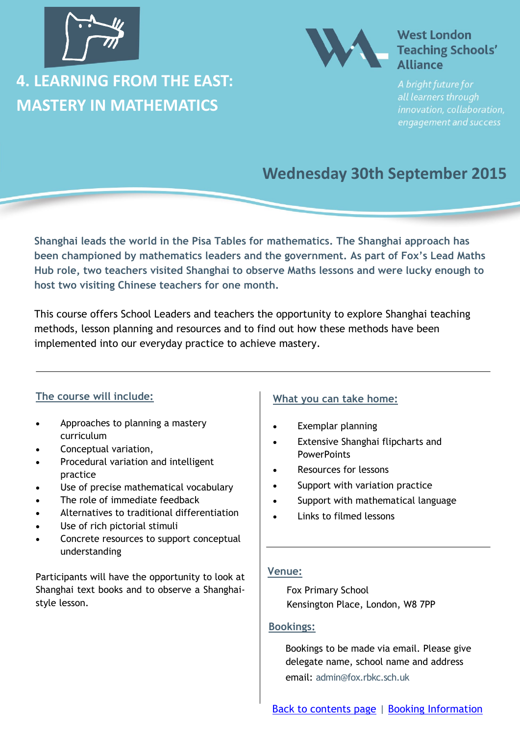<span id="page-6-0"></span>

### **4. LEARNING FROM THE EAST: MASTERY IN MATHEMATICS**



### **West London Teaching Schools' Alliance**

all learners through innovation, collaboration, engagement and success

### **Wednesday 30th September 2015**

**Shanghai leads the world in the Pisa Tables for mathematics. The Shanghai approach has been championed by mathematics leaders and the government. As part of Fox's Lead Maths Hub role, two teachers visited Shanghai to observe Maths lessons and were lucky enough to host two visiting Chinese teachers for one month.** 

This course offers School Leaders and teachers the opportunity to explore Shanghai teaching methods, lesson planning and resources and to find out how these methods have been implemented into our everyday practice to achieve mastery.

### **The course will include:**

- Approaches to planning a mastery curriculum
- Conceptual variation,
- Procedural variation and intelligent practice
- Use of precise mathematical vocabulary
- The role of immediate feedback
- Alternatives to traditional differentiation
- Use of rich pictorial stimuli
- Concrete resources to support conceptual understanding

Participants will have the opportunity to look at Shanghai text books and to observe a Shanghaistyle lesson.

### **What you can take home:**

- Exemplar planning
- Extensive Shanghai flipcharts and **PowerPoints**
- Resources for lessons
- Support with variation practice
- Support with mathematical language
- Links to filmed lessons

### **Venue:**

Fox Primary School Kensington Place, London, W8 7PP

#### **Bookings:**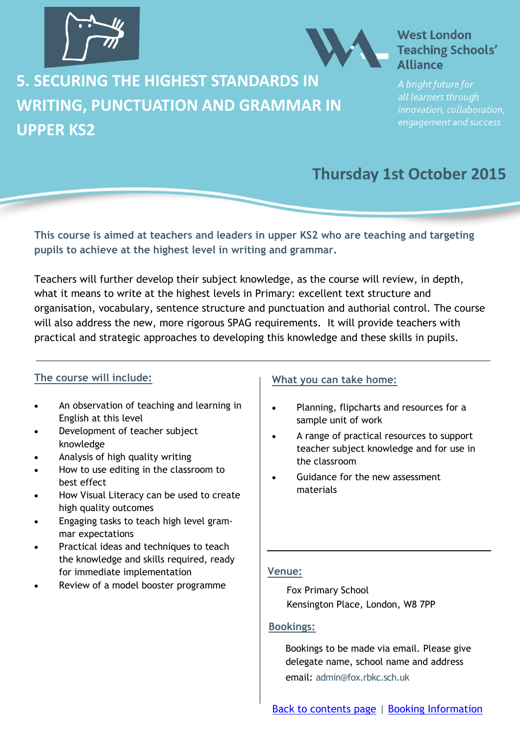<span id="page-7-0"></span>



**5. SECURING THE HIGHEST STANDARDS IN WRITING, PUNCTUATION AND GRAMMAR IN UPPER KS2**

### all learners through innovation, collaboration, engagement and success

### **Thursday 1st October 2015**

**This course is aimed at teachers and leaders in upper KS2 who are teaching and targeting pupils to achieve at the highest level in writing and grammar.**

Teachers will further develop their subject knowledge, as the course will review, in depth, what it means to write at the highest levels in Primary: excellent text structure and organisation, vocabulary, sentence structure and punctuation and authorial control. The course will also address the new, more rigorous SPAG requirements. It will provide teachers with practical and strategic approaches to developing this knowledge and these skills in pupils.

### **The course will include:**

- An observation of teaching and learning in English at this level
- Development of teacher subject knowledge
- Analysis of high quality writing
- How to use editing in the classroom to best effect
- How Visual Literacy can be used to create high quality outcomes
- Engaging tasks to teach high level grammar expectations
- Practical ideas and techniques to teach the knowledge and skills required, ready for immediate implementation
- Review of a model booster programme

#### **What you can take home:**

- Planning, flipcharts and resources for a sample unit of work
- A range of practical resources to support teacher subject knowledge and for use in the classroom
- Guidance for the new assessment materials

### **Venue:**

Fox Primary School Kensington Place, London, W8 7PP

### **Bookings:**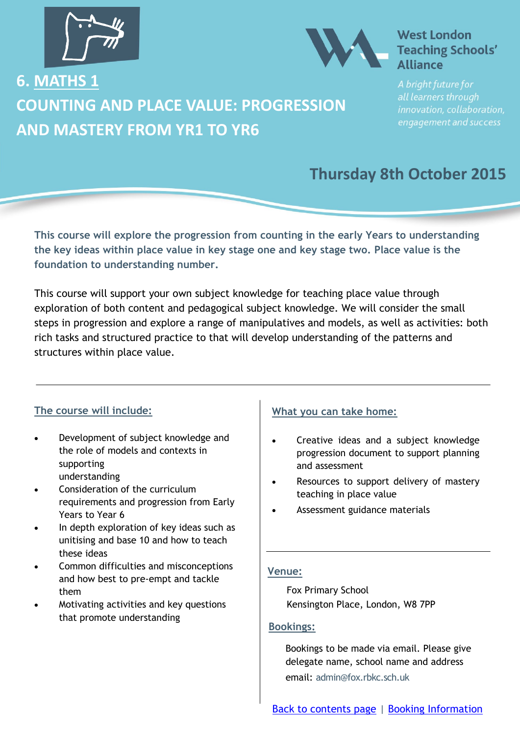<span id="page-8-0"></span>



**6. MATHS 1 COUNTING AND PLACE VALUE: PROGRESSION AND MASTERY FROM YR1 TO YR6**

all learners through innovation, collaboration, engagement and success

### **Thursday 8th October 2015**

**This course will explore the progression from counting in the early Years to understanding the key ideas within place value in key stage one and key stage two. Place value is the foundation to understanding number.**

This course will support your own subject knowledge for teaching place value through exploration of both content and pedagogical subject knowledge. We will consider the small steps in progression and explore a range of manipulatives and models, as well as activities: both rich tasks and structured practice to that will develop understanding of the patterns and structures within place value.

### **The course will include:**

- Development of subject knowledge and the role of models and contexts in supporting understanding
- Consideration of the curriculum requirements and progression from Early Years to Year 6
- In depth exploration of key ideas such as unitising and base 10 and how to teach these ideas
- Common difficulties and misconceptions and how best to pre-empt and tackle them
- Motivating activities and key questions that promote understanding

### **What you can take home:**

- Creative ideas and a subject knowledge progression document to support planning and assessment
- Resources to support delivery of mastery teaching in place value
- Assessment guidance materials

### **Venue:**

Fox Primary School Kensington Place, London, W8 7PP

#### **Bookings:**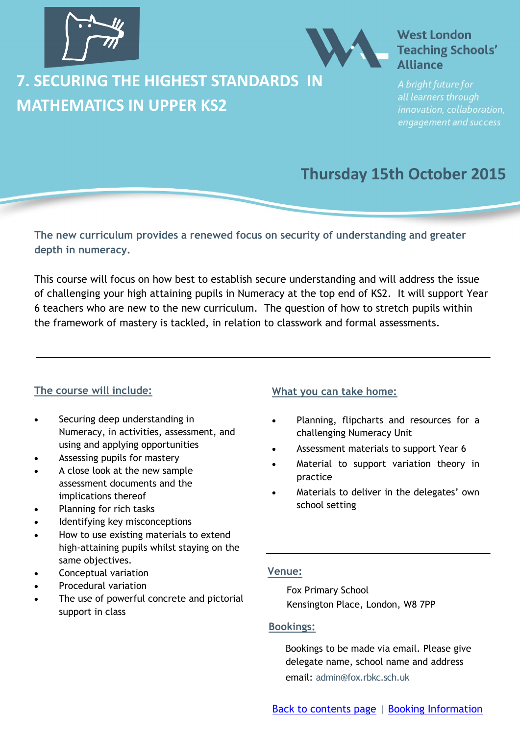<span id="page-9-0"></span>



**7. SECURING THE HIGHEST STANDARDS IN MATHEMATICS IN UPPER KS2**

all learners through innovation, collaboration, engagement and success

### **Thursday 15th October 2015**

**The new curriculum provides a renewed focus on security of understanding and greater depth in numeracy.**

This course will focus on how best to establish secure understanding and will address the issue of challenging your high attaining pupils in Numeracy at the top end of KS2. It will support Year 6 teachers who are new to the new curriculum. The question of how to stretch pupils within the framework of mastery is tackled, in relation to classwork and formal assessments.

### **The course will include:**

- Securing deep understanding in Numeracy, in activities, assessment, and using and applying opportunities
- Assessing pupils for mastery
- A close look at the new sample assessment documents and the implications thereof
- Planning for rich tasks
- Identifying key misconceptions
- How to use existing materials to extend high-attaining pupils whilst staying on the same objectives.
- Conceptual variation
- Procedural variation
- The use of powerful concrete and pictorial support in class

#### **What you can take home:**

- Planning, flipcharts and resources for a challenging Numeracy Unit
- Assessment materials to support Year 6
- Material to support variation theory in practice
- Materials to deliver in the delegates' own school setting

#### **Venue:**

Fox Primary School Kensington Place, London, W8 7PP

#### **Bookings:**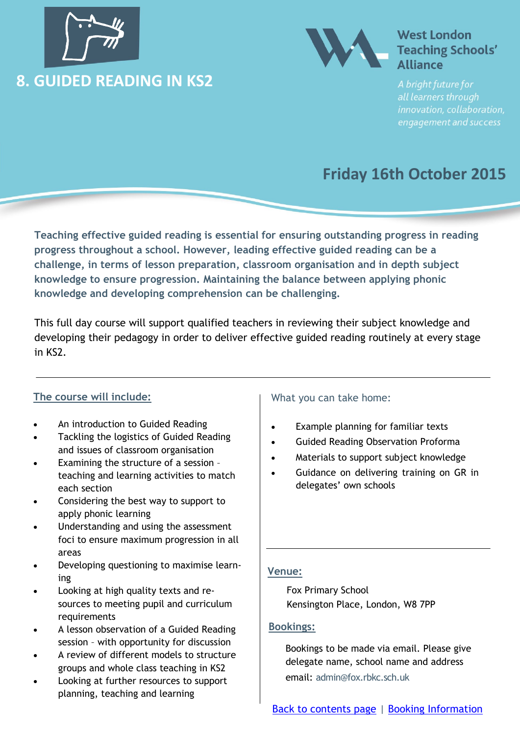<span id="page-10-0"></span>



all learners through innovation, collaboration, engagement and success

### **Friday 16th October 2015**

**Teaching effective guided reading is essential for ensuring outstanding progress in reading progress throughout a school. However, leading effective guided reading can be a challenge, in terms of lesson preparation, classroom organisation and in depth subject knowledge to ensure progression. Maintaining the balance between applying phonic knowledge and developing comprehension can be challenging.** 

This full day course will support qualified teachers in reviewing their subject knowledge and developing their pedagogy in order to deliver effective guided reading routinely at every stage in KS2.

### **The course will include:**

- An introduction to Guided Reading
- Tackling the logistics of Guided Reading and issues of classroom organisation
- Examining the structure of a session teaching and learning activities to match each section
- Considering the best way to support to apply phonic learning
- Understanding and using the assessment foci to ensure maximum progression in all areas
- Developing questioning to maximise learning
- Looking at high quality texts and resources to meeting pupil and curriculum requirements
- A lesson observation of a Guided Reading session – with opportunity for discussion
- A review of different models to structure groups and whole class teaching in KS2
- Looking at further resources to support planning, teaching and learning

### What you can take home:

- Example planning for familiar texts
- Guided Reading Observation Proforma
- Materials to support subject knowledge
- Guidance on delivering training on GR in delegates' own schools

### **Venue:**

Fox Primary School Kensington Place, London, W8 7PP

### **Bookings:**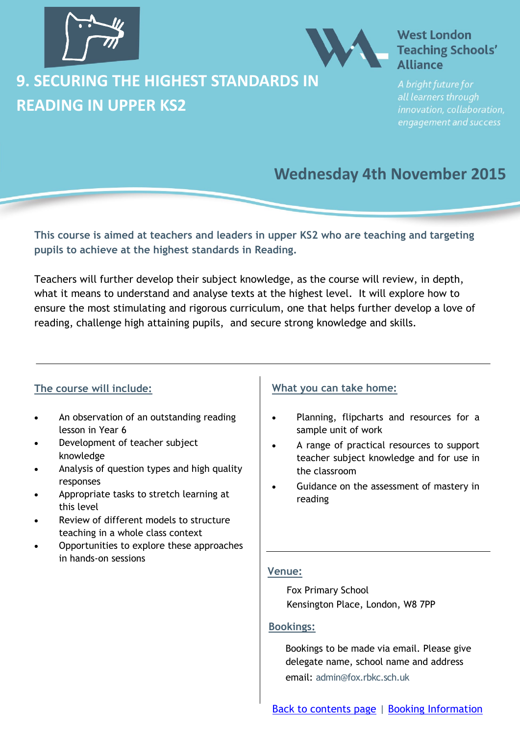<span id="page-11-0"></span>

### **9. SECURING THE HIGHEST STANDARDS IN READING IN UPPER KS2**

### **West London Teaching Schools' Alliance**

all learners through innovation, collaboration, engagement and success

### **Wednesday 4th November 2015**

**This course is aimed at teachers and leaders in upper KS2 who are teaching and targeting pupils to achieve at the highest standards in Reading.**

Teachers will further develop their subject knowledge, as the course will review, in depth, what it means to understand and analyse texts at the highest level. It will explore how to ensure the most stimulating and rigorous curriculum, one that helps further develop a love of reading, challenge high attaining pupils, and secure strong knowledge and skills.

### **The course will include:**

- An observation of an outstanding reading lesson in Year 6
- Development of teacher subject knowledge
- Analysis of question types and high quality responses
- Appropriate tasks to stretch learning at this level
- Review of different models to structure teaching in a whole class context
- Opportunities to explore these approaches in hands-on sessions

### **What you can take home:**

- Planning, flipcharts and resources for a sample unit of work
- A range of practical resources to support teacher subject knowledge and for use in the classroom
- Guidance on the assessment of mastery in reading

### **Venue:**

Fox Primary School Kensington Place, London, W8 7PP

### **Bookings:**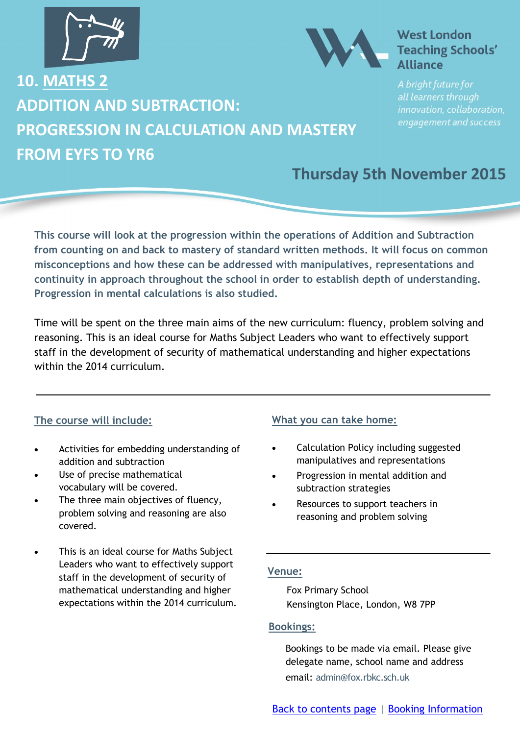<span id="page-12-0"></span>



**10. MATHS 2 ADDITION AND SUBTRACTION: PROGRESSION IN CALCULATION AND MASTERY FROM EYFS TO YR6**

### all learners through innovation, collaboration, engagement and success

### **Thursday 5th November 2015**

**This course will look at the progression within the operations of Addition and Subtraction from counting on and back to mastery of standard written methods. It will focus on common misconceptions and how these can be addressed with manipulatives, representations and continuity in approach throughout the school in order to establish depth of understanding. Progression in mental calculations is also studied.**

Time will be spent on the three main aims of the new curriculum: fluency, problem solving and reasoning. This is an ideal course for Maths Subject Leaders who want to effectively support staff in the development of security of mathematical understanding and higher expectations within the 2014 curriculum.

### **The course will include:**

- Activities for embedding understanding of addition and subtraction
- Use of precise mathematical vocabulary will be covered.
- The three main objectives of fluency, problem solving and reasoning are also covered.
- This is an ideal course for Maths Subject Leaders who want to effectively support staff in the development of security of mathematical understanding and higher expectations within the 2014 curriculum.

### **What you can take home:**

- Calculation Policy including suggested manipulatives and representations
- Progression in mental addition and subtraction strategies
- Resources to support teachers in reasoning and problem solving

#### **Venue:**

Fox Primary School Kensington Place, London, W8 7PP

#### **Bookings:**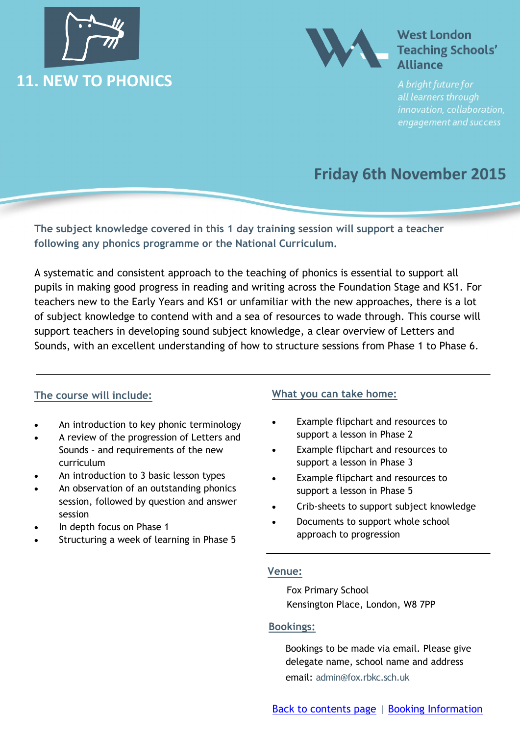<span id="page-13-0"></span>



all learners through innovation, collaboration, engagement and success

### **Friday 6th November 2015**

**The subject knowledge covered in this 1 day training session will support a teacher following any phonics programme or the National Curriculum.** 

A systematic and consistent approach to the teaching of phonics is essential to support all pupils in making good progress in reading and writing across the Foundation Stage and KS1. For teachers new to the Early Years and KS1 or unfamiliar with the new approaches, there is a lot of subject knowledge to contend with and a sea of resources to wade through. This course will support teachers in developing sound subject knowledge, a clear overview of Letters and Sounds, with an excellent understanding of how to structure sessions from Phase 1 to Phase 6.

### **The course will include:**

- An introduction to key phonic terminology
- A review of the progression of Letters and Sounds – and requirements of the new curriculum
- An introduction to 3 basic lesson types
- An observation of an outstanding phonics session, followed by question and answer session
- In depth focus on Phase 1
- Structuring a week of learning in Phase 5

### **What you can take home:**

- Example flipchart and resources to support a lesson in Phase 2
- Example flipchart and resources to support a lesson in Phase 3
- Example flipchart and resources to support a lesson in Phase 5
- Crib-sheets to support subject knowledge
- Documents to support whole school approach to progression

### **Venue:**

Fox Primary School Kensington Place, London, W8 7PP

### **Bookings:**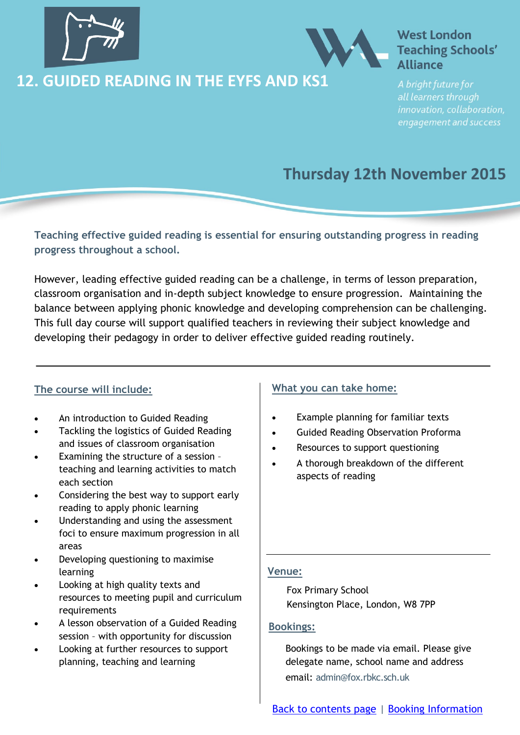<span id="page-14-0"></span>

### **12. GUIDED READING IN THE EYFS AND KS1**



### **West London Teaching Schools' Alliance**

all learners through innovation, collaboration, engagement and success

### **Thursday 12th November 2015**

**Teaching effective guided reading is essential for ensuring outstanding progress in reading progress throughout a school.**

However, leading effective guided reading can be a challenge, in terms of lesson preparation, classroom organisation and in-depth subject knowledge to ensure progression. Maintaining the balance between applying phonic knowledge and developing comprehension can be challenging. This full day course will support qualified teachers in reviewing their subject knowledge and developing their pedagogy in order to deliver effective guided reading routinely.

### **The course will include:**

- An introduction to Guided Reading
- Tackling the logistics of Guided Reading and issues of classroom organisation
- Examining the structure of a session teaching and learning activities to match each section
- Considering the best way to support early reading to apply phonic learning
- Understanding and using the assessment foci to ensure maximum progression in all areas
- Developing questioning to maximise learning
- Looking at high quality texts and resources to meeting pupil and curriculum requirements
- A lesson observation of a Guided Reading session – with opportunity for discussion
- Looking at further resources to support planning, teaching and learning

### **What you can take home:**

- Example planning for familiar texts
- Guided Reading Observation Proforma
- Resources to support questioning
- A thorough breakdown of the different aspects of reading

#### **Venue:**

Fox Primary School Kensington Place, London, W8 7PP

### **Bookings:**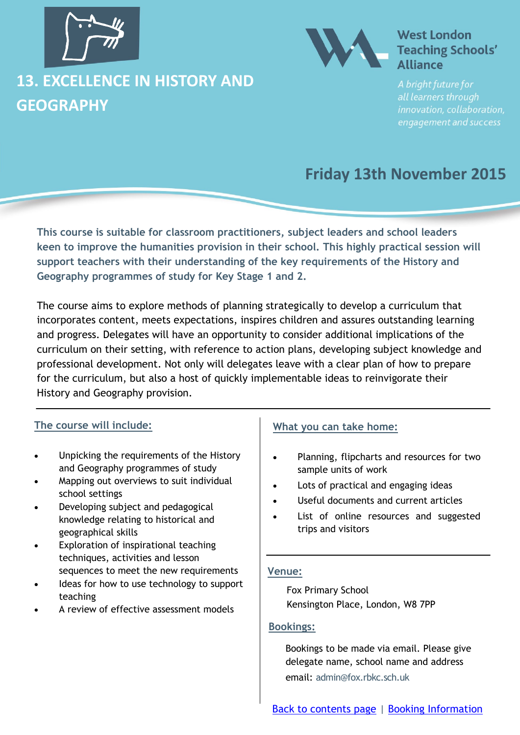<span id="page-15-0"></span>

### **13. EXCELLENCE IN HISTORY AND GEOGRAPHY**



### **West London Teaching Schools' Alliance**

all learners through innovation, collaboration, engagement and success

### **Friday 13th November 2015**

**This course is suitable for classroom practitioners, subject leaders and school leaders keen to improve the humanities provision in their school. This highly practical session will support teachers with their understanding of the key requirements of the History and Geography programmes of study for Key Stage 1 and 2.**

The course aims to explore methods of planning strategically to develop a curriculum that incorporates content, meets expectations, inspires children and assures outstanding learning and progress. Delegates will have an opportunity to consider additional implications of the curriculum on their setting, with reference to action plans, developing subject knowledge and professional development. Not only will delegates leave with a clear plan of how to prepare for the curriculum, but also a host of quickly implementable ideas to reinvigorate their History and Geography provision.

### **The course will include:**

- Unpicking the requirements of the History and Geography programmes of study
- Mapping out overviews to suit individual school settings
- Developing subject and pedagogical knowledge relating to historical and geographical skills
- **Exploration of inspirational teaching** techniques, activities and lesson sequences to meet the new requirements
- Ideas for how to use technology to support teaching
- A review of effective assessment models

### **What you can take home:**

- Planning, flipcharts and resources for two sample units of work
- Lots of practical and engaging ideas
- Useful documents and current articles
- List of online resources and suggested trips and visitors

#### **Venue:**

Fox Primary School Kensington Place, London, W8 7PP

### **Bookings:**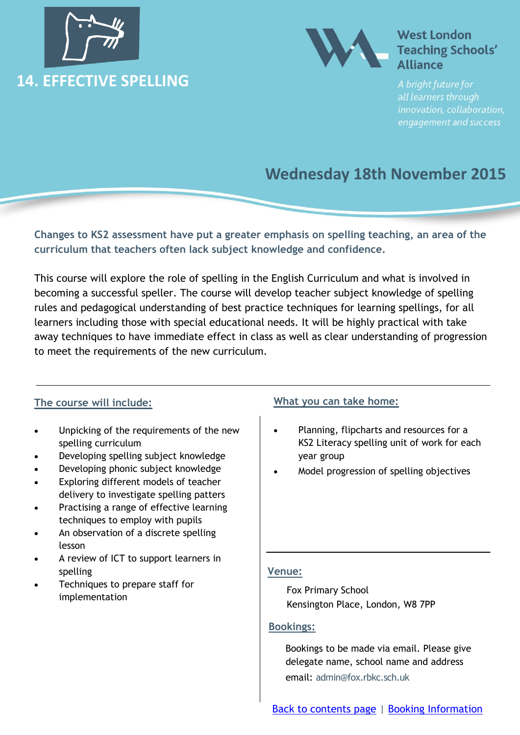<span id="page-16-0"></span>



all learners through innovation, collaboration, engagement and success

### **Wednesday 18th November 2015**

**Changes to KS2 assessment have put a greater emphasis on spelling teaching, an area of the curriculum that teachers often lack subject knowledge and confidence.**

This course will explore the role of spelling in the English Curriculum and what is involved in becoming a successful speller. The course will develop teacher subject knowledge of spelling rules and pedagogical understanding of best practice techniques for learning spellings, for all learners including those with special educational needs. It will be highly practical with take away techniques to have immediate effect in class as well as clear understanding of progression to meet the requirements of the new curriculum.

### **The course will include:**

- Unpicking of the requirements of the new spelling curriculum
- Developing spelling subject knowledge
- Developing phonic subject knowledge
- Exploring different models of teacher delivery to investigate spelling patters
- Practising a range of effective learning techniques to employ with pupils
- An observation of a discrete spelling lesson
- A review of ICT to support learners in spelling
- Techniques to prepare staff for implementation

### **What you can take home:**

- Planning, flipcharts and resources for a KS2 Literacy spelling unit of work for each year group
- Model progression of spelling objectives

### **Venue:**

Fox Primary School Kensington Place, London, W8 7PP

### **Bookings:**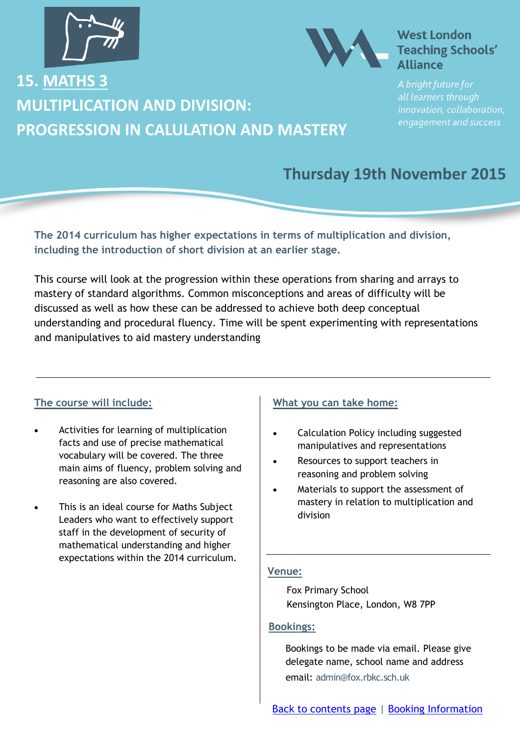<span id="page-17-0"></span>

**MULTIPLICATION AND DIVISION:** 

**PROGRESSION IN CALULATION AND MASTERY**

**15. MATHS 3**



### **West London Teaching Schools' Alliance**

all learners through innovation, collaboration, engagement and success

### **Thursday 19th November 2015**

**The 2014 curriculum has higher expectations in terms of multiplication and division, including the introduction of short division at an earlier stage.**

This course will look at the progression within these operations from sharing and arrays to mastery of standard algorithms. Common misconceptions and areas of difficulty will be discussed as well as how these can be addressed to achieve both deep conceptual understanding and procedural fluency. Time will be spent experimenting with representations and manipulatives to aid mastery understanding

### **The course will include:**

- Activities for learning of multiplication facts and use of precise mathematical vocabulary will be covered. The three main aims of fluency, problem solving and reasoning are also covered.
- This is an ideal course for Maths Subject Leaders who want to effectively support staff in the development of security of mathematical understanding and higher expectations within the 2014 curriculum.

### **What you can take home:**

- Calculation Policy including suggested manipulatives and representations
- Resources to support teachers in reasoning and problem solving
- Materials to support the assessment of mastery in relation to multiplication and division

#### **Venue:**

Fox Primary School Kensington Place, London, W8 7PP

#### **Bookings:**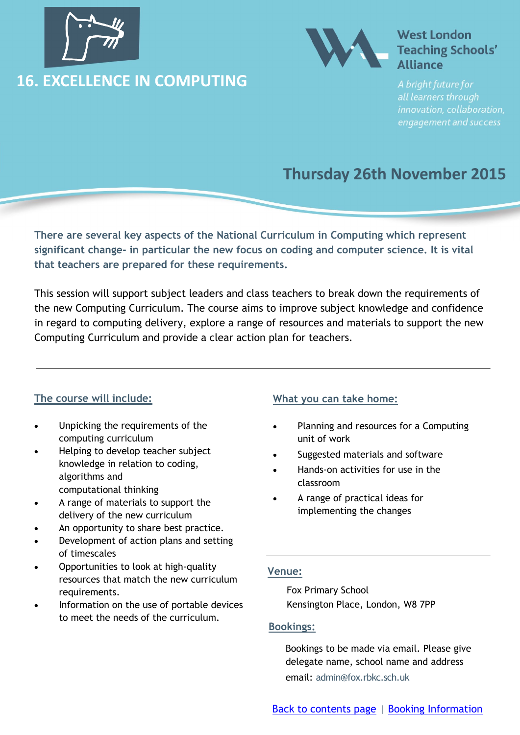<span id="page-18-0"></span>

### **16. EXCELLENCE IN COMPUTING**



### **West London Teaching Schools' Alliance**

all learners through innovation, collaboration, engagement and success

### **Thursday 26th November 2015**

**There are several key aspects of the National Curriculum in Computing which represent significant change- in particular the new focus on coding and computer science. It is vital that teachers are prepared for these requirements.**

This session will support subject leaders and class teachers to break down the requirements of the new Computing Curriculum. The course aims to improve subject knowledge and confidence in regard to computing delivery, explore a range of resources and materials to support the new Computing Curriculum and provide a clear action plan for teachers.

### **The course will include:**

- Unpicking the requirements of the computing curriculum
- Helping to develop teacher subject knowledge in relation to coding, algorithms and computational thinking
- A range of materials to support the delivery of the new curriculum
- An opportunity to share best practice.
- Development of action plans and setting of timescales
- Opportunities to look at high-quality resources that match the new curriculum requirements.
- Information on the use of portable devices to meet the needs of the curriculum.

### **What you can take home:**

- Planning and resources for a Computing unit of work
- Suggested materials and software
- Hands-on activities for use in the classroom
- A range of practical ideas for implementing the changes

#### **Venue:**

Fox Primary School Kensington Place, London, W8 7PP

#### **Bookings:**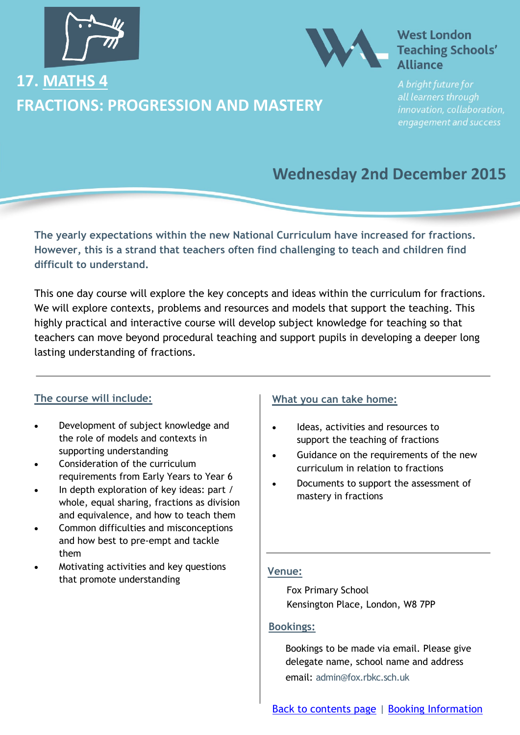<span id="page-19-0"></span>

### **17. MATHS 4 FRACTIONS: PROGRESSION AND MASTERY**



### **West London Teaching Schools' Alliance**

all learners through innovation, collaboration, engagement and success

### **Wednesday 2nd December 2015**

**The yearly expectations within the new National Curriculum have increased for fractions. However, this is a strand that teachers often find challenging to teach and children find difficult to understand.**

This one day course will explore the key concepts and ideas within the curriculum for fractions. We will explore contexts, problems and resources and models that support the teaching. This highly practical and interactive course will develop subject knowledge for teaching so that teachers can move beyond procedural teaching and support pupils in developing a deeper long lasting understanding of fractions.

### **The course will include:**

- Development of subject knowledge and the role of models and contexts in supporting understanding
- Consideration of the curriculum requirements from Early Years to Year 6
- In depth exploration of key ideas: part / whole, equal sharing, fractions as division and equivalence, and how to teach them
- Common difficulties and misconceptions and how best to pre-empt and tackle them
- Motivating activities and key questions that promote understanding

### **What you can take home:**

- Ideas, activities and resources to support the teaching of fractions
- Guidance on the requirements of the new curriculum in relation to fractions
- Documents to support the assessment of mastery in fractions

### **Venue:**

Fox Primary School Kensington Place, London, W8 7PP

### **Bookings:**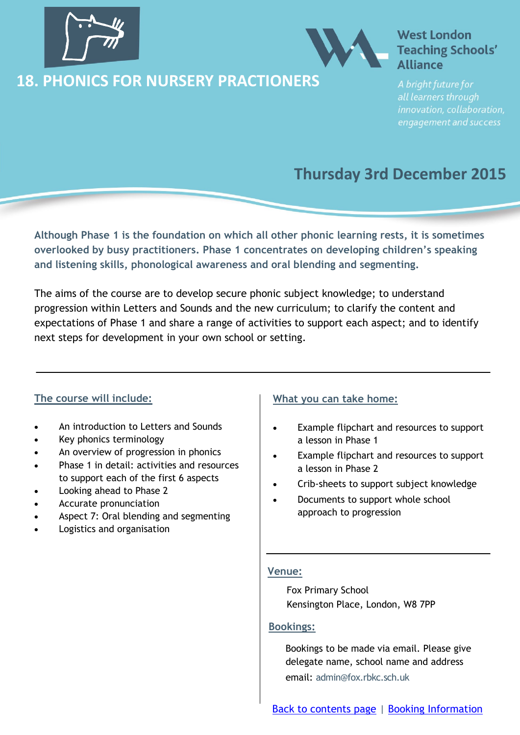<span id="page-20-0"></span>

### **18. PHONICS FOR NURSERY PRACTIONERS**



### **West London Teaching Schools' Alliance**

all learners through innovation, collaboration, engagement and success

### **Thursday 3rd December 2015**

**Although Phase 1 is the foundation on which all other phonic learning rests, it is sometimes overlooked by busy practitioners. Phase 1 concentrates on developing children's speaking and listening skills, phonological awareness and oral blending and segmenting.** 

The aims of the course are to develop secure phonic subject knowledge; to understand progression within Letters and Sounds and the new curriculum; to clarify the content and expectations of Phase 1 and share a range of activities to support each aspect; and to identify next steps for development in your own school or setting.

### **The course will include:**

- An introduction to Letters and Sounds
- Key phonics terminology
- An overview of progression in phonics
- Phase 1 in detail: activities and resources to support each of the first 6 aspects
- Looking ahead to Phase 2
- Accurate pronunciation
- Aspect 7: Oral blending and segmenting
- Logistics and organisation

### **What you can take home:**

- Example flipchart and resources to support a lesson in Phase 1
- Example flipchart and resources to support a lesson in Phase 2
- Crib-sheets to support subject knowledge
- Documents to support whole school approach to progression

#### **Venue:**

Fox Primary School Kensington Place, London, W8 7PP

### **Bookings:**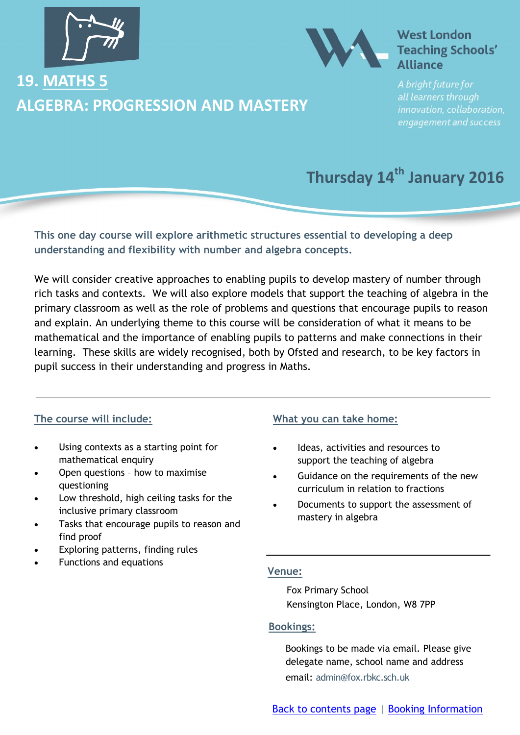<span id="page-21-0"></span>

### **19. MATHS 5 ALGEBRA: PROGRESSION AND MASTERY**



### **West London Teaching Schools' Alliance**

all learners through innovation, collaboration, engagement and success

### **Thursday 14th January 2016**

**This one day course will explore arithmetic structures essential to developing a deep understanding and flexibility with number and algebra concepts.** 

We will consider creative approaches to enabling pupils to develop mastery of number through rich tasks and contexts. We will also explore models that support the teaching of algebra in the primary classroom as well as the role of problems and questions that encourage pupils to reason and explain. An underlying theme to this course will be consideration of what it means to be mathematical and the importance of enabling pupils to patterns and make connections in their learning. These skills are widely recognised, both by Ofsted and research, to be key factors in pupil success in their understanding and progress in Maths.

### **The course will include:**

- Using contexts as a starting point for mathematical enquiry
- Open questions how to maximise questioning
- Low threshold, high ceiling tasks for the inclusive primary classroom
- Tasks that encourage pupils to reason and find proof
- Exploring patterns, finding rules
- Functions and equations

### **What you can take home:**

- Ideas, activities and resources to support the teaching of algebra
- Guidance on the requirements of the new curriculum in relation to fractions
- Documents to support the assessment of mastery in algebra

### **Venue:**

Fox Primary School Kensington Place, London, W8 7PP

### **Bookings:**